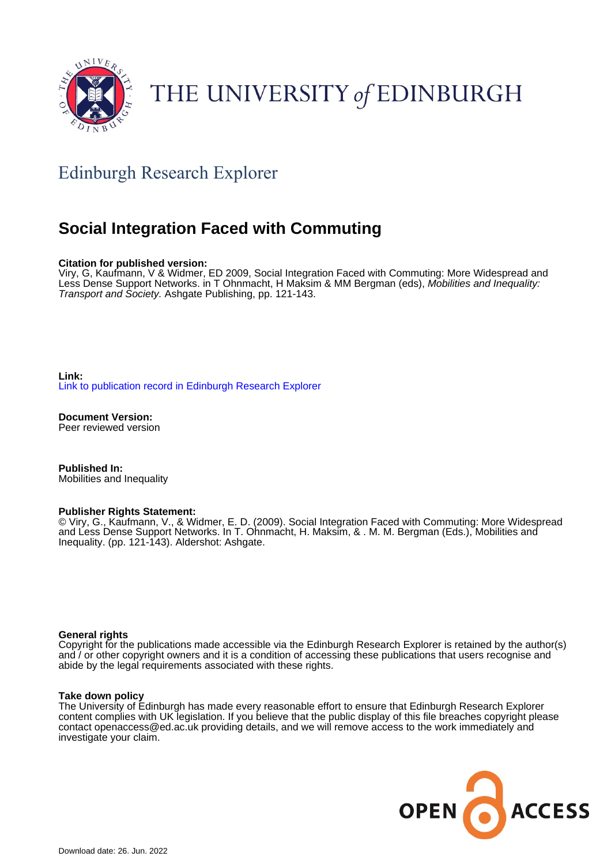

# THE UNIVERSITY of EDINBURGH

# Edinburgh Research Explorer

## **Social Integration Faced with Commuting**

#### **Citation for published version:**

Viry, G, Kaufmann, V & Widmer, ED 2009, Social Integration Faced with Commuting: More Widespread and Less Dense Support Networks. in T Ohnmacht, H Maksim & MM Bergman (eds), Mobilities and Inequality: Transport and Society. Ashgate Publishing, pp. 121-143.

**Link:** [Link to publication record in Edinburgh Research Explorer](https://www.research.ed.ac.uk/en/publications/bd5e1ab6-752f-4f6a-8e74-4f6086ad9169)

**Document Version:** Peer reviewed version

**Published In:** Mobilities and Inequality

#### **Publisher Rights Statement:**

© Viry, G., Kaufmann, V., & Widmer, E. D. (2009). Social Integration Faced with Commuting: More Widespread and Less Dense Support Networks. In T. Ohnmacht, H. Maksim, & . M. M. Bergman (Eds.), Mobilities and Inequality. (pp. 121-143). Aldershot: Ashgate.

#### **General rights**

Copyright for the publications made accessible via the Edinburgh Research Explorer is retained by the author(s) and / or other copyright owners and it is a condition of accessing these publications that users recognise and abide by the legal requirements associated with these rights.

#### **Take down policy**

The University of Edinburgh has made every reasonable effort to ensure that Edinburgh Research Explorer content complies with UK legislation. If you believe that the public display of this file breaches copyright please contact openaccess@ed.ac.uk providing details, and we will remove access to the work immediately and investigate your claim.

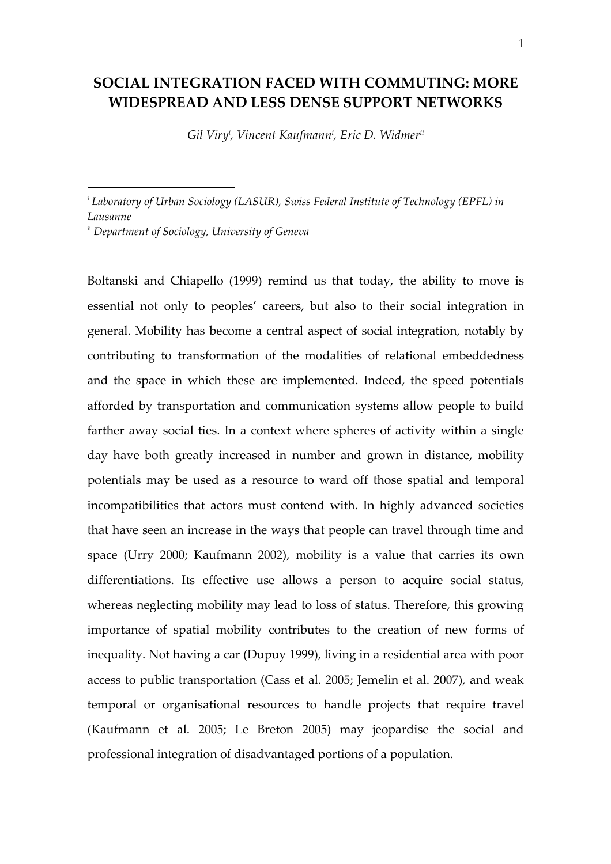### **SOCIAL INTEGRATION FACED WITH COMMUTING: MORE WIDESPREAD AND LESS DENSE SUPPORT NETWORKS**

*Gil Viryi , Vincent Kaufmanni , Eric D. Widmerii*

i *Laboratory of Urban Sociology (LASUR), Swiss Federal Institute of Technology (EPFL) in Lausanne*

ii *Department of Sociology, University of Geneva*

 $\overline{a}$ 

Boltanski and Chiapello (1999) remind us that today, the ability to move is essential not only to peoples' careers, but also to their social integration in general. Mobility has become a central aspect of social integration, notably by contributing to transformation of the modalities of relational embeddedness and the space in which these are implemented. Indeed, the speed potentials afforded by transportation and communication systems allow people to build farther away social ties. In a context where spheres of activity within a single day have both greatly increased in number and grown in distance, mobility potentials may be used as a resource to ward off those spatial and temporal incompatibilities that actors must contend with. In highly advanced societies that have seen an increase in the ways that people can travel through time and space (Urry 2000; Kaufmann 2002), mobility is a value that carries its own differentiations. Its effective use allows a person to acquire social status, whereas neglecting mobility may lead to loss of status. Therefore, this growing importance of spatial mobility contributes to the creation of new forms of inequality. Not having a car (Dupuy 1999), living in a residential area with poor access to public transportation (Cass et al. 2005; Jemelin et al. 2007), and weak temporal or organisational resources to handle projects that require travel (Kaufmann et al. 2005; Le Breton 2005) may jeopardise the social and professional integration of disadvantaged portions of a population.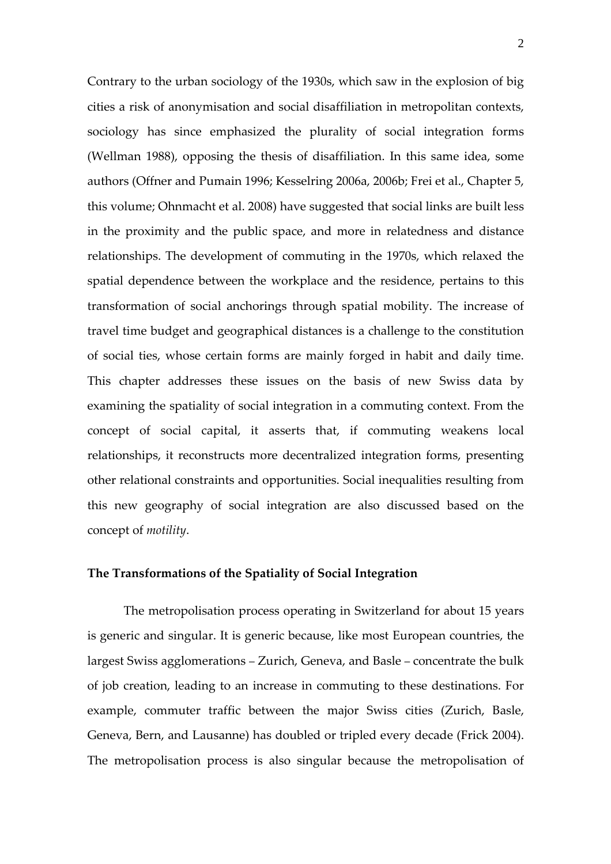Contrary to the urban sociology of the 1930s, which saw in the explosion of big cities a risk of anonymisation and social disaffiliation in metropolitan contexts, sociology has since emphasized the plurality of social integration forms (Wellman 1988), opposing the thesis of disaffiliation. In this same idea, some authors (Offner and Pumain 1996; Kesselring 2006a, 2006b; Frei et al., Chapter 5, this volume; Ohnmacht et al. 2008) have suggested that social links are built less in the proximity and the public space, and more in relatedness and distance relationships. The development of commuting in the 1970s, which relaxed the spatial dependence between the workplace and the residence, pertains to this transformation of social anchorings through spatial mobility. The increase of travel time budget and geographical distances is a challenge to the constitution of social ties, whose certain forms are mainly forged in habit and daily time. This chapter addresses these issues on the basis of new Swiss data by examining the spatiality of social integration in a commuting context. From the concept of social capital, it asserts that, if commuting weakens local relationships, it reconstructs more decentralized integration forms, presenting other relational constraints and opportunities. Social inequalities resulting from this new geography of social integration are also discussed based on the concept of *motility*.

#### **The Transformations of the Spatiality of Social Integration**

The metropolisation process operating in Switzerland for about 15 years is generic and singular. It is generic because, like most European countries, the largest Swiss agglomerations – Zurich, Geneva, and Basle – concentrate the bulk of job creation, leading to an increase in commuting to these destinations. For example, commuter traffic between the major Swiss cities (Zurich, Basle, Geneva, Bern, and Lausanne) has doubled or tripled every decade (Frick 2004). The metropolisation process is also singular because the metropolisation of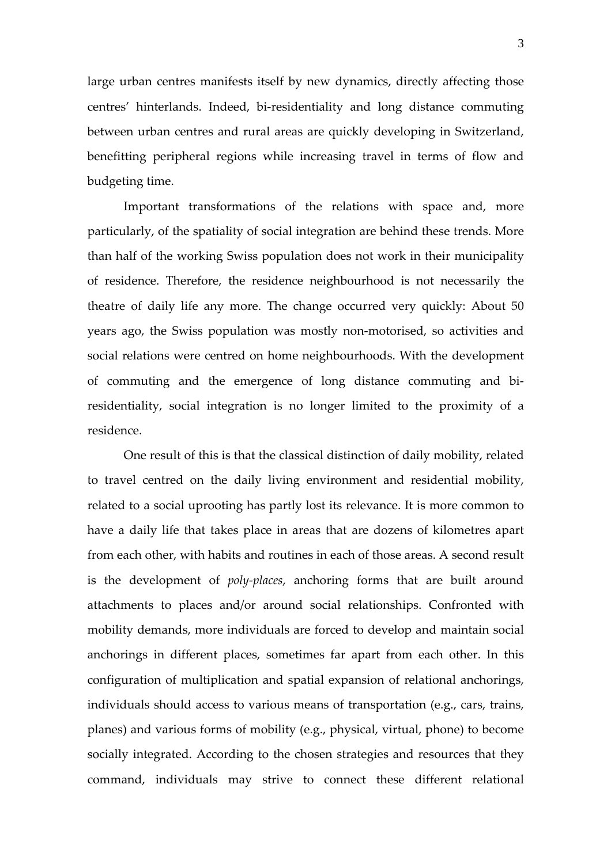large urban centres manifests itself by new dynamics, directly affecting those centres' hinterlands. Indeed, bi‐residentiality and long distance commuting between urban centres and rural areas are quickly developing in Switzerland, benefitting peripheral regions while increasing travel in terms of flow and budgeting time.

Important transformations of the relations with space and, more particularly, of the spatiality of social integration are behind these trends. More than half of the working Swiss population does not work in their municipality of residence. Therefore, the residence neighbourhood is not necessarily the theatre of daily life any more. The change occurred very quickly: About 50 years ago, the Swiss population was mostly non‐motorised, so activities and social relations were centred on home neighbourhoods. With the development of commuting and the emergence of long distance commuting and bi‐ residentiality, social integration is no longer limited to the proximity of a residence.

One result of this is that the classical distinction of daily mobility, related to travel centred on the daily living environment and residential mobility, related to a social uprooting has partly lost its relevance. It is more common to have a daily life that takes place in areas that are dozens of kilometres apart from each other, with habits and routines in each of those areas. A second result is the development of *poly-places*, anchoring forms that are built around attachments to places and/or around social relationships. Confronted with mobility demands, more individuals are forced to develop and maintain social anchorings in different places, sometimes far apart from each other. In this configuration of multiplication and spatial expansion of relational anchorings, individuals should access to various means of transportation (e.g., cars, trains, planes) and various forms of mobility (e.g., physical, virtual, phone) to become socially integrated. According to the chosen strategies and resources that they command, individuals may strive to connect these different relational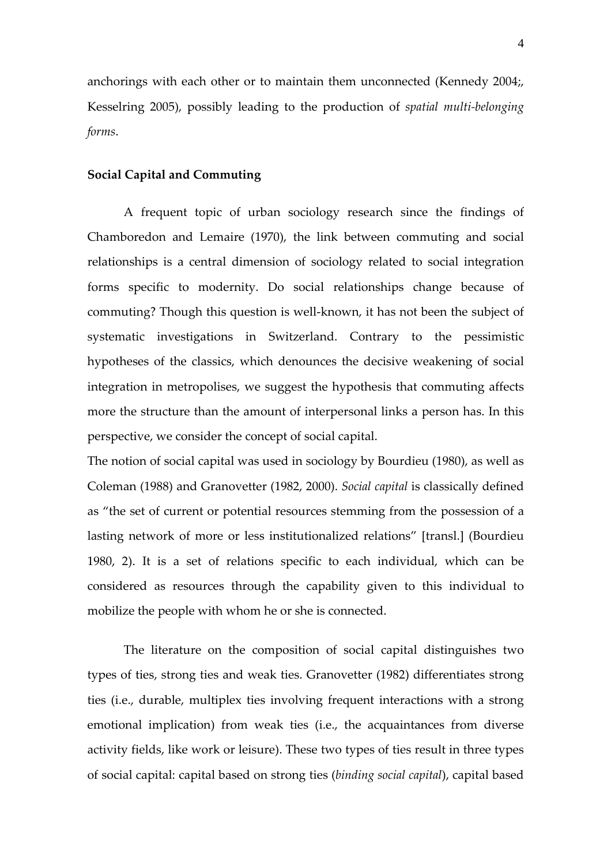anchorings with each other or to maintain them unconnected (Kennedy 2004;, Kesselring 2005), possibly leading to the production of *spatial multi‐belonging forms*.

#### **Social Capital and Commuting**

A frequent topic of urban sociology research since the findings of Chamboredon and Lemaire (1970), the link between commuting and social relationships is a central dimension of sociology related to social integration forms specific to modernity. Do social relationships change because of commuting? Though this question is well‐known, it has not been the subject of systematic investigations in Switzerland. Contrary to the pessimistic hypotheses of the classics, which denounces the decisive weakening of social integration in metropolises, we suggest the hypothesis that commuting affects more the structure than the amount of interpersonal links a person has. In this perspective, we consider the concept of social capital.

The notion of social capital was used in sociology by Bourdieu (1980), as well as Coleman (1988) and Granovetter (1982, 2000). *Social capital* is classically defined as "the set of current or potential resources stemming from the possession of a lasting network of more or less institutionalized relations" [transl.] (Bourdieu 1980, 2). It is a set of relations specific to each individual, which can be considered as resources through the capability given to this individual to mobilize the people with whom he or she is connected.

The literature on the composition of social capital distinguishes two types of ties, strong ties and weak ties. Granovetter (1982) differentiates strong ties (i.e., durable, multiplex ties involving frequent interactions with a strong emotional implication) from weak ties (i.e., the acquaintances from diverse activity fields, like work or leisure). These two types of ties result in three types of social capital: capital based on strong ties (*binding social capital*), capital based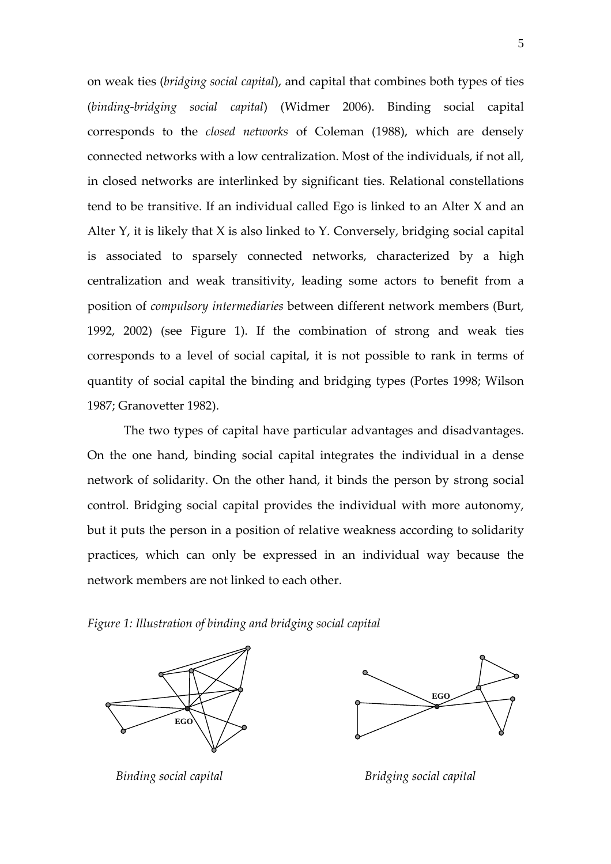on weak ties (*bridging social capital*), and capital that combines both types of ties (*binding‐bridging social capital*) (Widmer 2006). Binding social capital corresponds to the *closed networks* of Coleman (1988), which are densely connected networks with a low centralization. Most of the individuals, if not all, in closed networks are interlinked by significant ties. Relational constellations tend to be transitive. If an individual called Ego is linked to an Alter X and an Alter Y, it is likely that X is also linked to Y. Conversely, bridging social capital is associated to sparsely connected networks, characterized by a high centralization and weak transitivity, leading some actors to benefit from a position of *compulsory intermediaries* between different network members (Burt, 1992, 2002) (see Figure 1). If the combination of strong and weak ties corresponds to a level of social capital, it is not possible to rank in terms of quantity of social capital the binding and bridging types (Portes 1998; Wilson 1987; Granovetter 1982).

The two types of capital have particular advantages and disadvantages. On the one hand, binding social capital integrates the individual in a dense network of solidarity. On the other hand, it binds the person by strong social control. Bridging social capital provides the individual with more autonomy, but it puts the person in a position of relative weakness according to solidarity practices, which can only be expressed in an individual way because the network members are not linked to each other.

*Figure 1: Illustration of binding and bridging social capital*





*Binding social capital Bridging social capital*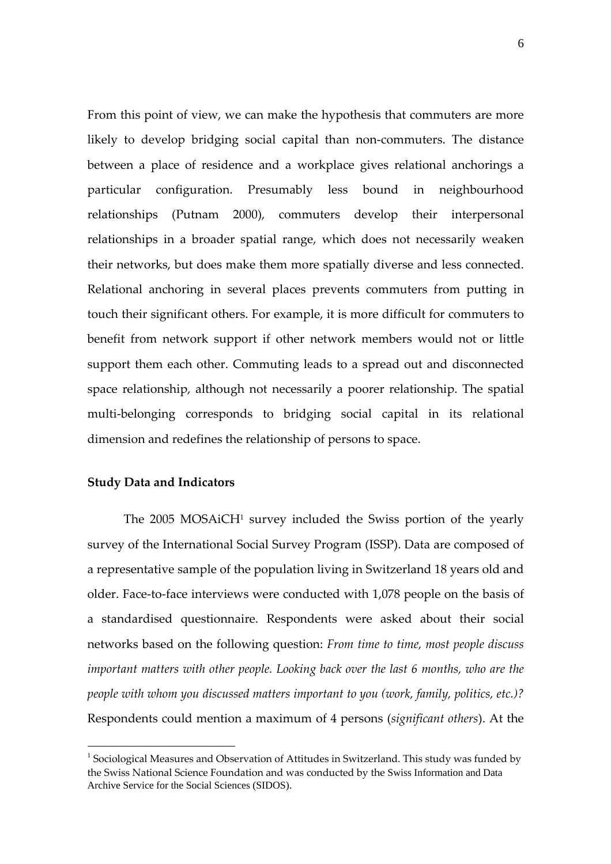From this point of view, we can make the hypothesis that commuters are more likely to develop bridging social capital than non‐commuters. The distance between a place of residence and a workplace gives relational anchorings a particular configuration. Presumably less bound in neighbourhood relationships (Putnam 2000), commuters develop their interpersonal relationships in a broader spatial range, which does not necessarily weaken their networks, but does make them more spatially diverse and less connected. Relational anchoring in several places prevents commuters from putting in touch their significant others. For example, it is more difficult for commuters to benefit from network support if other network members would not or little support them each other. Commuting leads to a spread out and disconnected space relationship, although not necessarily a poorer relationship. The spatial multi‐belonging corresponds to bridging social capital in its relational dimension and redefines the relationship of persons to space.

#### **Study Data and Indicators**

 $\overline{a}$ 

The 2005 MOSAiCH<sup>1</sup> survey included the Swiss portion of the yearly survey of the International Social Survey Program (ISSP). Data are composed of a representative sample of the population living in Switzerland 18 years old and older. Face-to-face interviews were conducted with 1,078 people on the basis of a standardised questionnaire. Respondents were asked about their social networks based on the following question: *From time to time, most people discuss important matters with other people. Looking back over the last 6 months, who are the people with whom you discussed matters important to you (work, family, politics, etc.)?* Respondents could mention a maximum of 4 persons (*significant others*). At the

 $1$  Sociological Measures and Observation of Attitudes in Switzerland. This study was funded by the Swiss National Science Foundation and was conducted by the Swiss Information and Data Archive Service for the Social Sciences (SIDOS).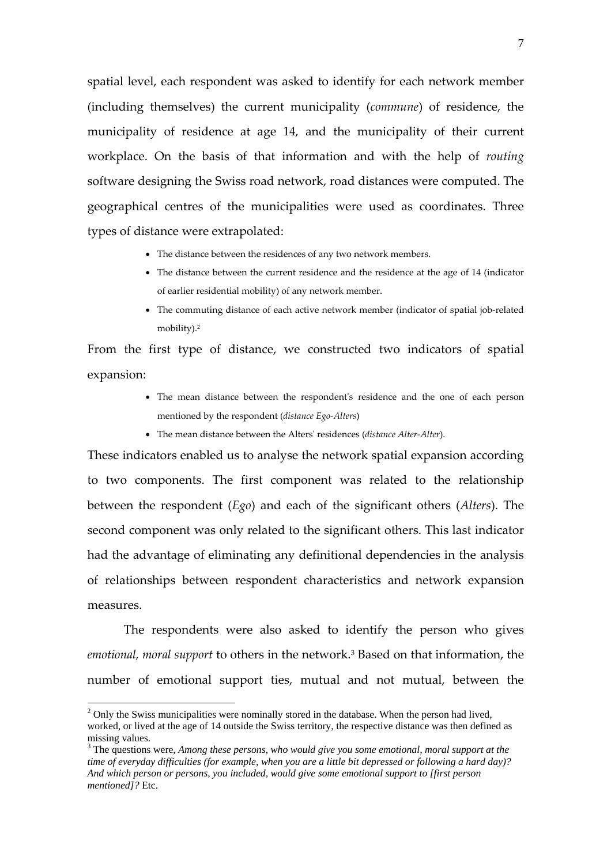spatial level, each respondent was asked to identify for each network member (including themselves) the current municipality (*commune*) of residence, the municipality of residence at age 14, and the municipality of their current workplace. On the basis of that information and with the help of *routing* software designing the Swiss road network, road distances were computed. The geographical centres of the municipalities were used as coordinates. Three types of distance were extrapolated:

- The distance between the residences of any two network members.
- The distance between the current residence and the residence at the age of 14 (indicator of earlier residential mobility) of any network member.
- The commuting distance of each active network member (indicator of spatial job-related mobility).2

From the first type of distance, we constructed two indicators of spatial expansion:

- The mean distance between the respondent's residence and the one of each person mentioned by the respondent (*distance Ego‐Alters*)
- The mean distance between the Altersʹ residences (*distance Alter‐Alter*).

These indicators enabled us to analyse the network spatial expansion according to two components. The first component was related to the relationship between the respondent (*Ego*) and each of the significant others (*Alters*). The second component was only related to the significant others. This last indicator had the advantage of eliminating any definitional dependencies in the analysis of relationships between respondent characteristics and network expansion measures.

The respondents were also asked to identify the person who gives *emotional, moral support* to others in the network.3 Based on that information, the number of emotional support ties, mutual and not mutual, between the

 $2$  Only the Swiss municipalities were nominally stored in the database. When the person had lived, worked, or lived at the age of 14 outside the Swiss territory, the respective distance was then defined as missing values.

<sup>3</sup> The questions were, *Among these persons, who would give you some emotional, moral support at the time of everyday difficulties (for example, when you are a little bit depressed or following a hard day)? And which person or persons, you included, would give some emotional support to [first person mentioned]?* Etc.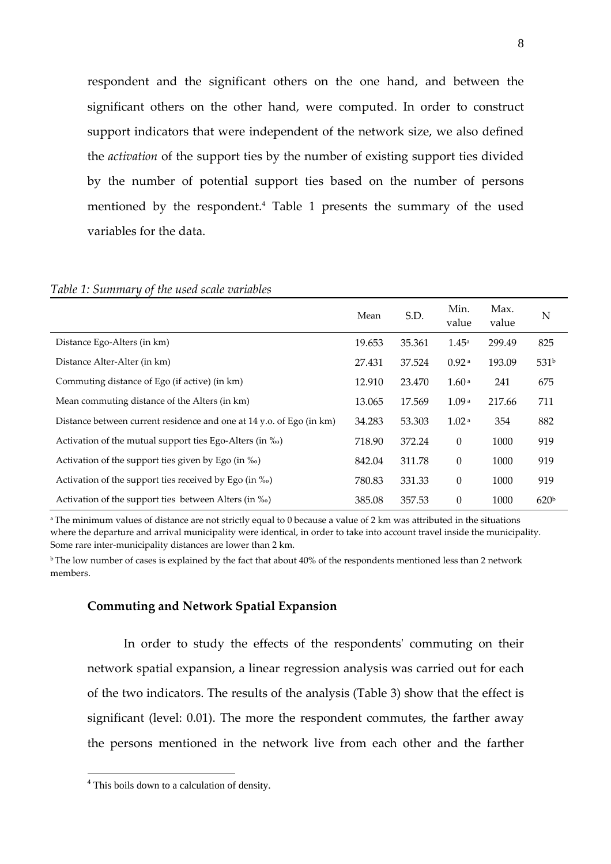respondent and the significant others on the one hand, and between the significant others on the other hand, were computed. In order to construct support indicators that were independent of the network size, we also defined the *activation* of the support ties by the number of existing support ties divided by the number of potential support ties based on the number of persons mentioned by the respondent.<sup>4</sup> Table 1 presents the summary of the used variables for the data.

|                                                                      | Mean   | S.D.   | Min.<br>value     | Max.<br>value | N                |
|----------------------------------------------------------------------|--------|--------|-------------------|---------------|------------------|
| Distance Ego-Alters (in km)                                          | 19.653 | 35.361 | 1.45a             | 299.49        | 825              |
| Distance Alter-Alter (in km)                                         | 27.431 | 37.524 | 0.92a             | 193.09        | 531 <sup>b</sup> |
| Commuting distance of Ego (if active) (in km)                        | 12.910 | 23.470 | 1.60 <sup>a</sup> | 241           | 675              |
| Mean commuting distance of the Alters (in km)                        | 13.065 | 17.569 | 1.09a             | 217.66        | 711              |
| Distance between current residence and one at 14 y.o. of Ego (in km) | 34.283 | 53.303 | 1.02 <sup>a</sup> | 354           | 882              |
| Activation of the mutual support ties Ego-Alters (in ‰)              | 718.90 | 372.24 | $\theta$          | 1000          | 919              |
| Activation of the support ties given by Ego (in ‰)                   | 842.04 | 311.78 | $\boldsymbol{0}$  | 1000          | 919              |
| Activation of the support ties received by Ego (in ‰)                | 780.83 | 331.33 | $\theta$          | 1000          | 919              |
| Activation of the support ties between Alters (in ‰)                 | 385.08 | 357.53 | $\theta$          | 1000          | 620 <sup>b</sup> |

#### *Table 1: Summary of the used scale variables*

<sup>a</sup> The minimum values of distance are not strictly equal to 0 because a value of 2 km was attributed in the situations where the departure and arrival municipality were identical, in order to take into account travel inside the municipality. Some rare inter-municipality distances are lower than 2 km.

<sup>b</sup> The low number of cases is explained by the fact that about 40% of the respondents mentioned less than 2 network members.

#### **Commuting and Network Spatial Expansion**

In order to study the effects of the respondentsʹ commuting on their network spatial expansion, a linear regression analysis was carried out for each of the two indicators. The results of the analysis (Table 3) show that the effect is significant (level: 0.01). The more the respondent commutes, the farther away the persons mentioned in the network live from each other and the farther

<sup>&</sup>lt;sup>4</sup> This boils down to a calculation of density.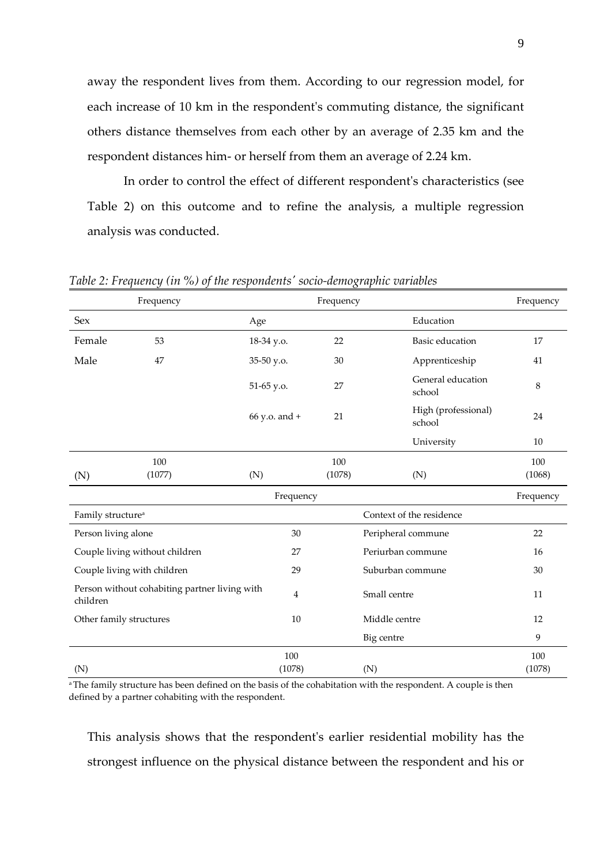away the respondent lives from them. According to our regression model, for each increase of 10 km in the respondent's commuting distance, the significant others distance themselves from each other by an average of 2.35 km and the respondent distances him‐ or herself from them an average of 2.24 km.

In order to control the effect of different respondentʹs characteristics (see Table 2) on this outcome and to refine the analysis, a multiple regression analysis was conducted.

|                               | Frequency                                     |               | Frequency     |                               | Frequency     |
|-------------------------------|-----------------------------------------------|---------------|---------------|-------------------------------|---------------|
| Sex                           |                                               | Age           |               | Education                     |               |
| Female                        | 53                                            | 18-34 y.o.    | 22            | <b>Basic</b> education        | 17            |
| Male                          | 47                                            | 35-50 y.o.    | 30            | Apprenticeship                | 41            |
|                               |                                               | 51-65 y.o.    | 27            | General education<br>school   | 8             |
|                               |                                               | 66 y.o. and + | 21            | High (professional)<br>school | 24            |
|                               |                                               |               |               | University                    | 10            |
| (N)                           | 100<br>(1077)                                 | (N)           | 100<br>(1078) | (N)                           | 100<br>(1068) |
|                               |                                               | Frequency     |               |                               | Frequency     |
| Family structure <sup>a</sup> |                                               |               |               | Context of the residence      |               |
| Person living alone           |                                               | 30            |               | Peripheral commune            | 22            |
|                               | Couple living without children                | 27            |               | Periurban commune             | 16            |
| Couple living with children   |                                               | 29            |               |                               | 30            |
|                               |                                               |               |               | Suburban commune              |               |
| children                      | Person without cohabiting partner living with | 4             |               | Small centre                  | 11            |
| Other family structures       |                                               | 10            |               | Middle centre                 | 12            |
|                               |                                               |               |               | Big centre                    | 9             |

*Table 2: Frequency (in %) of the respondentsʹ socio‐demographic variables*

<sup>a</sup> The family structure has been defined on the basis of the cohabitation with the respondent. A couple is then defined by a partner cohabiting with the respondent.

This analysis shows that the respondentʹs earlier residential mobility has the strongest influence on the physical distance between the respondent and his or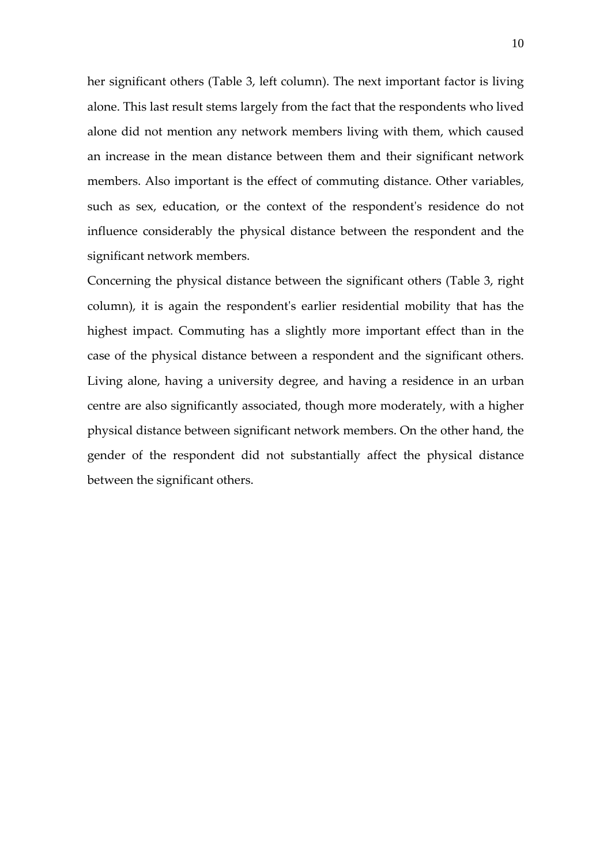her significant others (Table 3, left column). The next important factor is living alone. This last result stems largely from the fact that the respondents who lived alone did not mention any network members living with them, which caused an increase in the mean distance between them and their significant network members. Also important is the effect of commuting distance. Other variables, such as sex, education, or the context of the respondent's residence do not influence considerably the physical distance between the respondent and the significant network members.

Concerning the physical distance between the significant others (Table 3, right column), it is again the respondentʹs earlier residential mobility that has the highest impact. Commuting has a slightly more important effect than in the case of the physical distance between a respondent and the significant others. Living alone, having a university degree, and having a residence in an urban centre are also significantly associated, though more moderately, with a higher physical distance between significant network members. On the other hand, the gender of the respondent did not substantially affect the physical distance between the significant others.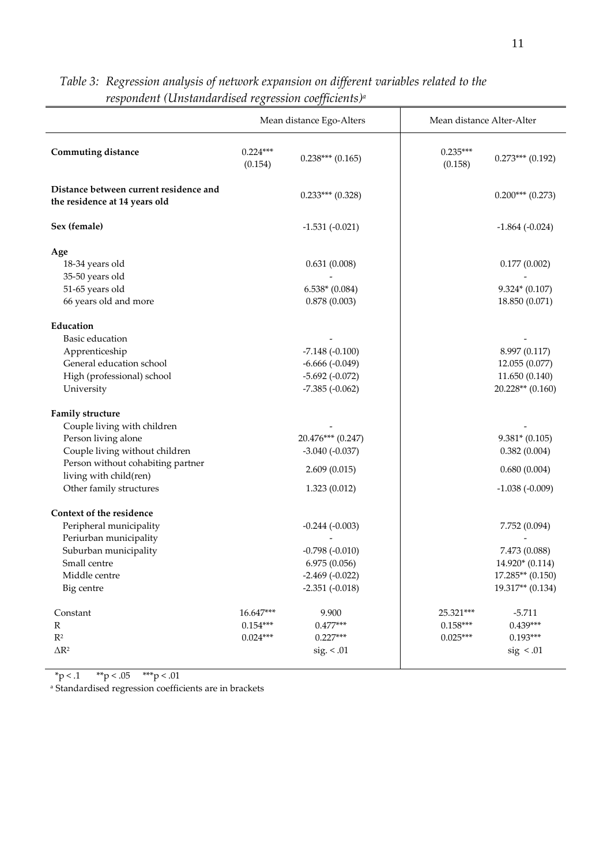|                                                                                                                                                                                                                   |                                       | Mean distance Ego-Alters                                                                                                                         | Mean distance Alter-Alter             |                                                                                                                                                |
|-------------------------------------------------------------------------------------------------------------------------------------------------------------------------------------------------------------------|---------------------------------------|--------------------------------------------------------------------------------------------------------------------------------------------------|---------------------------------------|------------------------------------------------------------------------------------------------------------------------------------------------|
| <b>Commuting distance</b>                                                                                                                                                                                         | $0.224***$<br>(0.154)                 | $0.238***$ (0.165)                                                                                                                               | $0.235***$<br>(0.158)                 | $0.273***$ (0.192)                                                                                                                             |
| Distance between current residence and<br>the residence at 14 years old                                                                                                                                           |                                       | $0.233***$ $(0.328)$                                                                                                                             |                                       | $0.200***$ (0.273)                                                                                                                             |
| Sex (female)                                                                                                                                                                                                      |                                       | $-1.531(-0.021)$                                                                                                                                 |                                       | $-1.864(-0.024)$                                                                                                                               |
| Age<br>18-34 years old<br>35-50 years old<br>51-65 years old<br>66 years old and more                                                                                                                             |                                       | 0.631(0.008)<br>$6.538*(0.084)$<br>0.878(0.003)                                                                                                  |                                       | 0.177(0.002)<br>$9.324*(0.107)$<br>18.850 (0.071)                                                                                              |
| Education<br><b>Basic</b> education<br>Apprenticeship<br>General education school<br>High (professional) school<br>University                                                                                     |                                       | $-7.148(-0.100)$<br>$-6.666(-0.049)$<br>$-5.692$ $(-0.072)$<br>$-7.385(-0.062)$                                                                  |                                       | 8.997 (0.117)<br>12.055 (0.077)<br>11.650 (0.140)<br>$20.228**$ (0.160)                                                                        |
| <b>Family structure</b><br>Couple living with children<br>Person living alone<br>Couple living without children<br>Person without cohabiting partner<br>living with child(ren)<br>Other family structures         |                                       | 20.476*** (0.247)<br>$-3.040$ $(-0.037)$<br>2.609(0.015)<br>1.323(0.012)                                                                         |                                       | $9.381*(0.105)$<br>0.382(0.004)<br>0.680(0.004)<br>$-1.038(-0.009)$                                                                            |
| Context of the residence<br>Peripheral municipality<br>Periurban municipality<br>Suburban municipality<br>Small centre<br>Middle centre<br>Big centre<br>Constant<br>R<br>$\mathbb{R}^2$<br>$\Delta \mathbf{R}^2$ | 16.647***<br>$0.154***$<br>$0.024***$ | $-0.244 (-0.003)$<br>$-0.798(-0.010)$<br>6.975(0.056)<br>$-2.469(-0.022)$<br>$-2.351(-0.018)$<br>9.900<br>$0.477***$<br>$0.227***$<br>sig. < .01 | 25.321***<br>$0.158***$<br>$0.025***$ | 7.752 (0.094)<br>7.473 (0.088)<br>14.920* (0.114)<br>17.285** (0.150)<br>19.317** (0.134)<br>$-5.711$<br>$0.439***$<br>$0.193***$<br>sig < .01 |

### *Table 3: Regression analysis of network expansion on different variables related to the respondent (Unstandardised regression coefficients)a*

 $*p < .1$  \*\*p < .05 \*\*\*p < .01

<sup>a</sup> Standardised regression coefficients are in brackets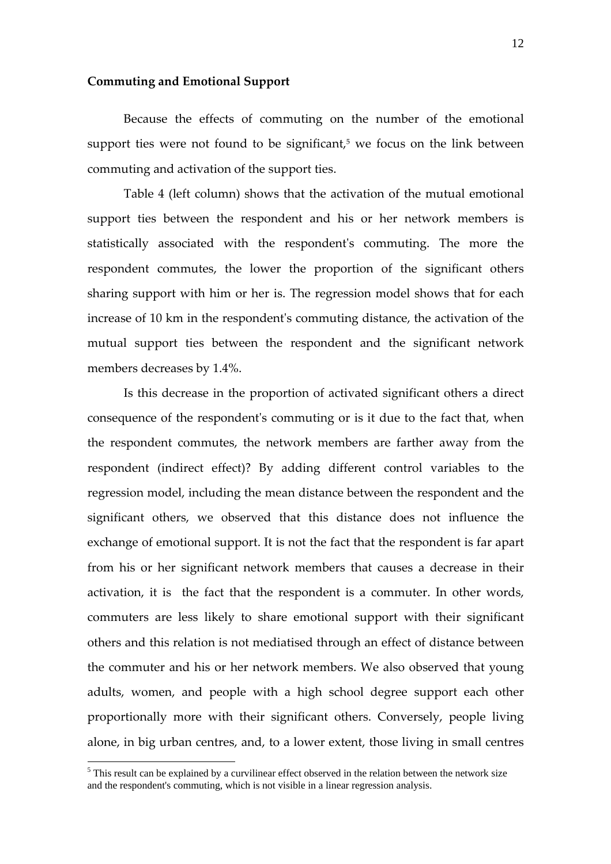#### **Commuting and Emotional Support**

Because the effects of commuting on the number of the emotional support ties were not found to be significant, $5$  we focus on the link between commuting and activation of the support ties.

Table 4 (left column) shows that the activation of the mutual emotional support ties between the respondent and his or her network members is statistically associated with the respondent's commuting. The more the respondent commutes, the lower the proportion of the significant others sharing support with him or her is. The regression model shows that for each increase of 10 km in the respondentʹs commuting distance, the activation of the mutual support ties between the respondent and the significant network members decreases by 1.4%.

Is this decrease in the proportion of activated significant others a direct consequence of the respondentʹs commuting or is it due to the fact that, when the respondent commutes, the network members are farther away from the respondent (indirect effect)? By adding different control variables to the regression model, including the mean distance between the respondent and the significant others, we observed that this distance does not influence the exchange of emotional support. It is not the fact that the respondent is far apart from his or her significant network members that causes a decrease in their activation, it is the fact that the respondent is a commuter. In other words, commuters are less likely to share emotional support with their significant others and this relation is not mediatised through an effect of distance between the commuter and his or her network members. We also observed that young adults, women, and people with a high school degree support each other proportionally more with their significant others. Conversely, people living alone, in big urban centres, and, to a lower extent, those living in small centres

 $<sup>5</sup>$  This result can be explained by a curvilinear effect observed in the relation between the network size</sup> and the respondent's commuting, which is not visible in a linear regression analysis.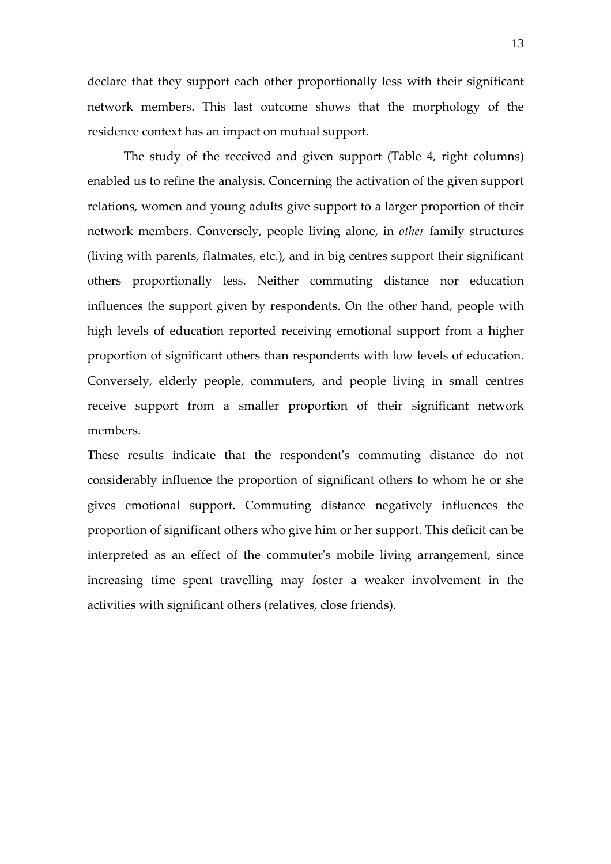declare that they support each other proportionally less with their significant network members. This last outcome shows that the morphology of the residence context has an impact on mutual support.

The study of the received and given support (Table 4, right columns) enabled us to refine the analysis. Concerning the activation of the given support relations, women and young adults give support to a larger proportion of their network members. Conversely, people living alone, in *other* family structures (living with parents, flatmates, etc.), and in big centres support their significant others proportionally less. Neither commuting distance nor education influences the support given by respondents. On the other hand, people with high levels of education reported receiving emotional support from a higher proportion of significant others than respondents with low levels of education. Conversely, elderly people, commuters, and people living in small centres receive support from a smaller proportion of their significant network members.

These results indicate that the respondent's commuting distance do not considerably influence the proportion of significant others to whom he or she gives emotional support. Commuting distance negatively influences the proportion of significant others who give him or her support. This deficit can be interpreted as an effect of the commuter's mobile living arrangement, since increasing time spent travelling may foster a weaker involvement in the activities with significant others (relatives, close friends).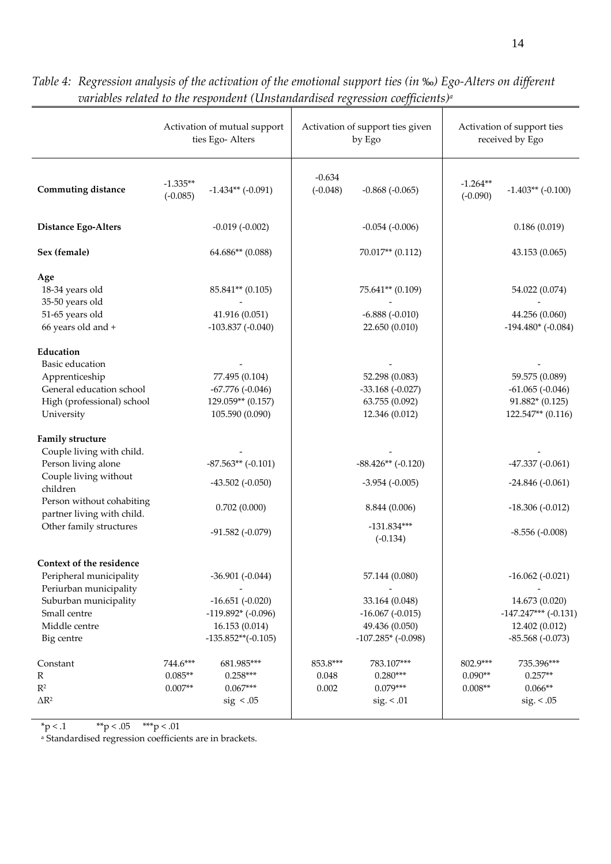|                                                                                                                                                                                                        |                                    | Activation of mutual support<br>ties Ego-Alters                                                         | $m$ . The contract $m$ is the complete the contract of the contract $m$ , $m$<br>Activation of support ties given<br>by Ego |                                                                                                        | Activation of support ties<br>received by Ego |                                                                                                           |
|--------------------------------------------------------------------------------------------------------------------------------------------------------------------------------------------------------|------------------------------------|---------------------------------------------------------------------------------------------------------|-----------------------------------------------------------------------------------------------------------------------------|--------------------------------------------------------------------------------------------------------|-----------------------------------------------|-----------------------------------------------------------------------------------------------------------|
| <b>Commuting distance</b>                                                                                                                                                                              | $-1.335**$<br>$(-0.085)$           | $-1.434**$ ( $-0.091$ )                                                                                 | $-0.634$<br>$(-0.048)$                                                                                                      | $-0.868(-0.065)$                                                                                       | $-1.264**$<br>$(-0.090)$                      | $-1.403**(-0.100)$                                                                                        |
| <b>Distance Ego-Alters</b>                                                                                                                                                                             |                                    | $-0.019(-0.002)$                                                                                        |                                                                                                                             | $-0.054(-0.006)$                                                                                       |                                               | 0.186(0.019)                                                                                              |
| Sex (female)                                                                                                                                                                                           |                                    | $64.686**$ (0.088)                                                                                      |                                                                                                                             | $70.017**$ (0.112)                                                                                     |                                               | 43.153 (0.065)                                                                                            |
| Age<br>18-34 years old<br>35-50 years old<br>51-65 years old<br>66 years old and +                                                                                                                     |                                    | 85.841** (0.105)<br>41.916 (0.051)<br>$-103.837(-0.040)$                                                |                                                                                                                             | 75.641** (0.109)<br>$-6.888(-0.010)$<br>22.650 (0.010)                                                 |                                               | 54.022 (0.074)<br>44.256 (0.060)<br>$-194.480*(-0.084)$                                                   |
| Education<br>Basic education<br>Apprenticeship<br>General education school<br>High (professional) school<br>University                                                                                 |                                    | 77.495 (0.104)<br>$-67.776(-0.046)$<br>129.059** (0.157)<br>105.590 (0.090)                             |                                                                                                                             | 52.298 (0.083)<br>$-33.168(-0.027)$<br>63.755 (0.092)<br>12.346 (0.012)                                |                                               | 59.575 (0.089)<br>$-61.065$ $(-0.046)$<br>$91.882*(0.125)$<br>$122.547**$ (0.116)                         |
| <b>Family structure</b><br>Couple living with child.<br>Person living alone<br>Couple living without<br>children<br>Person without cohabiting<br>partner living with child.<br>Other family structures |                                    | $-87.563**(-0.101)$<br>$-43.502$ $(-0.050)$<br>0.702(0.000)<br>$-91.582 (-0.079)$                       |                                                                                                                             | $-88.426**(-0.120)$<br>$-3.954$ $(-0.005)$<br>8.844 (0.006)<br>$-131.834***$<br>$(-0.134)$             |                                               | $-47.337(-0.061)$<br>$-24.846(-0.061)$<br>$-18.306(-0.012)$<br>$-8.556(-0.008)$                           |
| Context of the residence<br>Peripheral municipality<br>Periurban municipality<br>Suburban municipality<br>Small centre<br>Middle centre<br>Big centre                                                  |                                    | $-36.901(-0.044)$<br>$-16.651(-0.020)$<br>$-119.892*(-0.096)$<br>16.153 (0.014)<br>$-135.852**(-0.105)$ |                                                                                                                             | 57.144 (0.080)<br>33.164 (0.048)<br>$-16.067$ $(-0.015)$<br>49.436 (0.050)<br>$-107.285*$ ( $-0.098$ ) |                                               | $-16.062$ $(-0.021)$<br>14.673 (0.020)<br>$-147.247***$ $(-0.131)$<br>12.402 (0.012)<br>$-85.568(-0.073)$ |
| Constant<br>R<br>$\mathbb{R}^2$<br>$\Delta \mathbf{R}^2$                                                                                                                                               | 744.6***<br>$0.085**$<br>$0.007**$ | 681.985***<br>$0.258***$<br>$0.067***$<br>sig < .05                                                     | 853.8***<br>0.048<br>0.002                                                                                                  | 783.107***<br>$0.280***$<br>$0.079***$<br>sig. < .01                                                   | 802.9***<br>$0.090**$<br>$0.008**$            | 735.396***<br>$0.257**$<br>$0.066**$<br>sig. < .05                                                        |

Table 4: Regression analysis of the activation of the emotional support ties (in ‰) Ego-Alters on different *variables related to the respondent (Unstandardised regression coefficients)a*

\*p < .1 \*\* p < .05 \*\* p < .01

<sup>a</sup> Standardised regression coefficients are in brackets.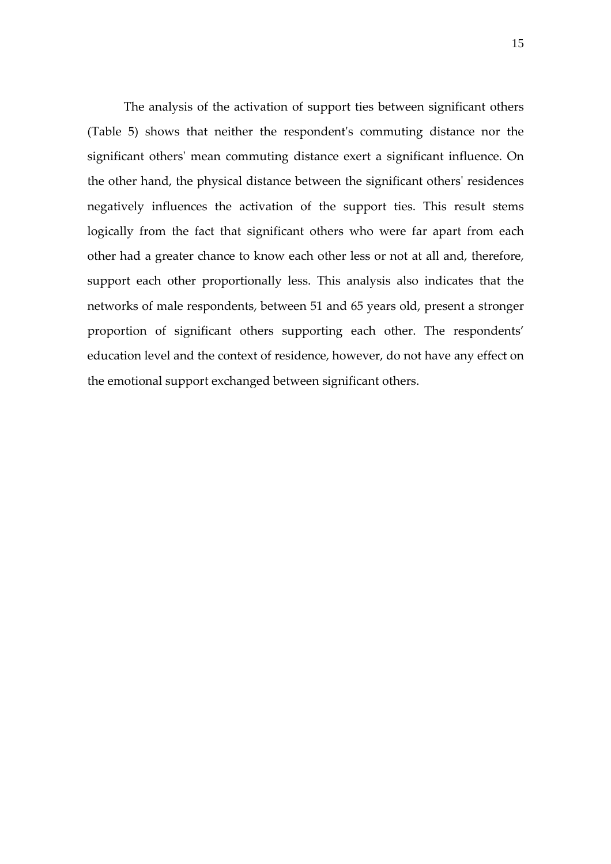The analysis of the activation of support ties between significant others (Table 5) shows that neither the respondentʹs commuting distance nor the significant others' mean commuting distance exert a significant influence. On the other hand, the physical distance between the significant others' residences negatively influences the activation of the support ties. This result stems logically from the fact that significant others who were far apart from each other had a greater chance to know each other less or not at all and, therefore, support each other proportionally less. This analysis also indicates that the networks of male respondents, between 51 and 65 years old, present a stronger proportion of significant others supporting each other. The respondents' education level and the context of residence, however, do not have any effect on the emotional support exchanged between significant others.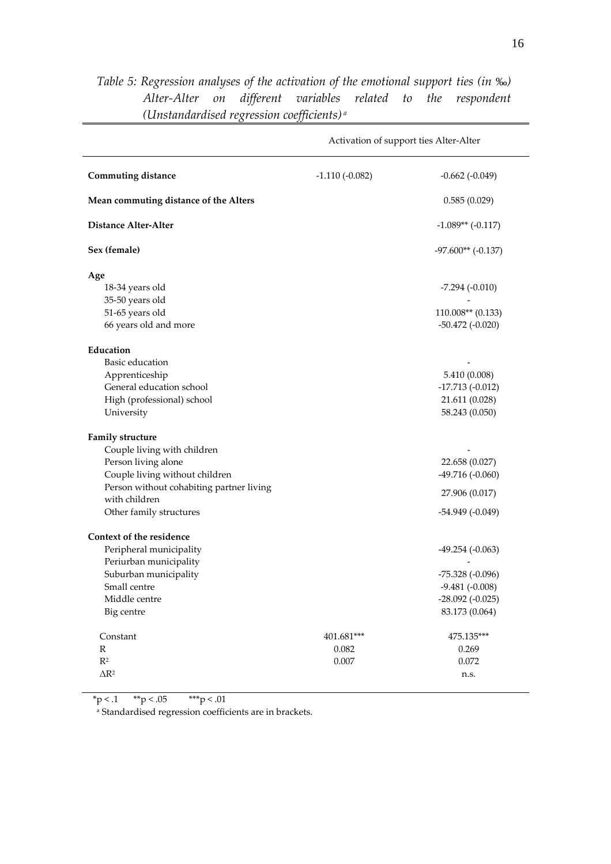|                                          | Activation of support ties Alter-Alter |                          |  |
|------------------------------------------|----------------------------------------|--------------------------|--|
| Commuting distance                       | $-1.110(-0.082)$                       | $-0.662(-0.049)$         |  |
| Mean commuting distance of the Alters    |                                        | 0.585(0.029)             |  |
| <b>Distance Alter-Alter</b>              |                                        | $-1.089**(-0.117)$       |  |
| Sex (female)                             |                                        | $-97.600**$ ( $-0.137$ ) |  |
| Age                                      |                                        |                          |  |
| 18-34 years old                          |                                        | $-7.294(-0.010)$         |  |
| 35-50 years old                          |                                        |                          |  |
| 51-65 years old                          |                                        | $110.008**$ (0.133)      |  |
| 66 years old and more                    |                                        | $-50.472$ $(-0.020)$     |  |
| Education                                |                                        |                          |  |
| <b>Basic</b> education                   |                                        |                          |  |
| Apprenticeship                           |                                        | 5.410 (0.008)            |  |
| General education school                 |                                        | $-17.713(-0.012)$        |  |
| High (professional) school               |                                        | 21.611 (0.028)           |  |
| University                               |                                        | 58.243 (0.050)           |  |
| <b>Family structure</b>                  |                                        |                          |  |
| Couple living with children              |                                        |                          |  |
| Person living alone                      |                                        | 22.658 (0.027)           |  |
| Couple living without children           |                                        | $-49.716(-0.060)$        |  |
| Person without cohabiting partner living |                                        |                          |  |
| with children                            |                                        | 27.906 (0.017)           |  |
| Other family structures                  |                                        | $-54.949(-0.049)$        |  |
| Context of the residence                 |                                        |                          |  |
| Peripheral municipality                  |                                        | $-49.254(-0.063)$        |  |
| Periurban municipality                   |                                        |                          |  |
| Suburban municipality                    |                                        | $-75.328(-0.096)$        |  |
| Small centre                             |                                        | $-9.481(-0.008)$         |  |
| Middle centre                            |                                        | $-28.092$ $(-0.025)$     |  |
| Big centre                               |                                        | 83.173 (0.064)           |  |
| Constant                                 | 401.681***                             | 475.135***               |  |
| R                                        | 0.082                                  | 0.269                    |  |
| $R^2$                                    | $0.007\,$                              | 0.072                    |  |
| $\Delta \mathbf{R}^2$                    |                                        | n.s.                     |  |

*Table 5: Regression analyses of the activation of the emotional support ties (in* ‰*) Alter‐Alter on different variables related to the respondent (Unstandardised regression coefficients) <sup>a</sup>*

\*p < .1 \*\*p < .05 \*\*\*p < .01

<sup>a</sup> Standardised regression coefficients are in brackets.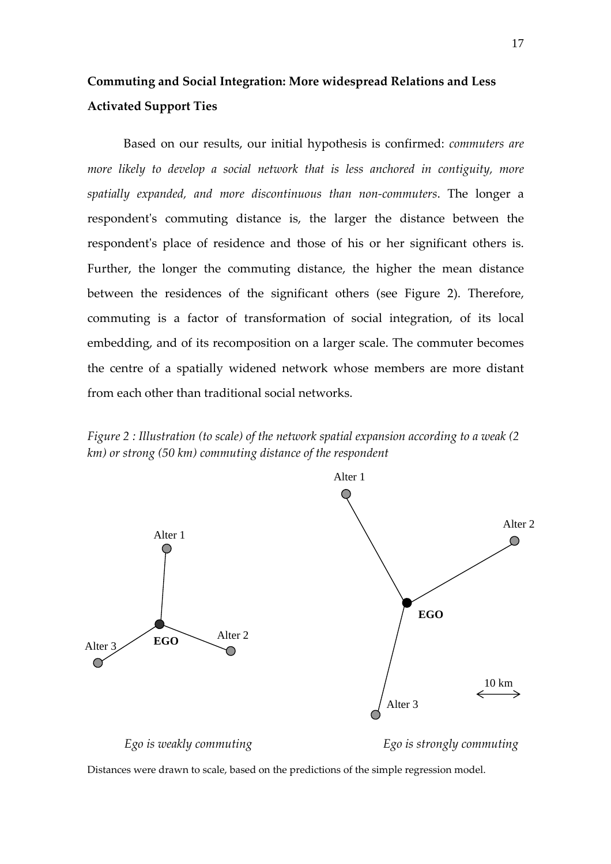### **Commuting and Social Integration: More widespread Relations and Less Activated Support Ties**

Based on our results, our initial hypothesis is confirmed: *commuters are more likely to develop a social network that is less anchored in contiguity, more spatially expanded, and more discontinuous than non‐commuters*. The longer a respondent's commuting distance is, the larger the distance between the respondent's place of residence and those of his or her significant others is. Further, the longer the commuting distance, the higher the mean distance between the residences of the significant others (see Figure 2). Therefore, commuting is a factor of transformation of social integration, of its local embedding, and of its recomposition on a larger scale. The commuter becomes the centre of a spatially widened network whose members are more distant from each other than traditional social networks.

*Figure 2 : Illustration (to scale) of the network spatial expansion according to a weak (2 km) or strong (50 km) commuting distance of the respondent* 



*Ego is weakly commuting Ego is strongly commuting*

Distances were drawn to scale, based on the predictions of the simple regression model.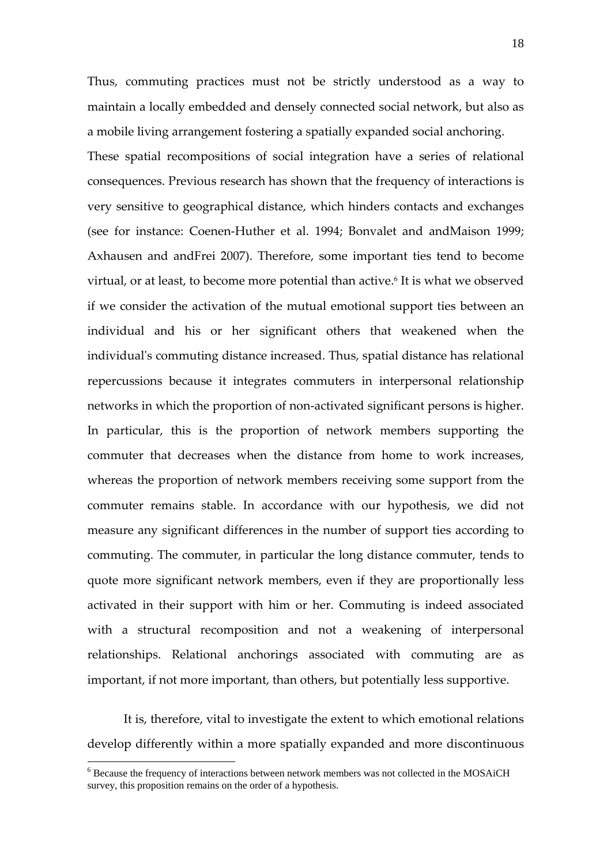18

Thus, commuting practices must not be strictly understood as a way to maintain a locally embedded and densely connected social network, but also as a mobile living arrangement fostering a spatially expanded social anchoring.

These spatial recompositions of social integration have a series of relational consequences. Previous research has shown that the frequency of interactions is very sensitive to geographical distance, which hinders contacts and exchanges (see for instance: Coenen‐Huther et al. 1994; Bonvalet and andMaison 1999; Axhausen and andFrei 2007). Therefore, some important ties tend to become virtual, or at least, to become more potential than active.6 It is what we observed if we consider the activation of the mutual emotional support ties between an individual and his or her significant others that weakened when the individual's commuting distance increased. Thus, spatial distance has relational repercussions because it integrates commuters in interpersonal relationship networks in which the proportion of non‐activated significant persons is higher. In particular, this is the proportion of network members supporting the commuter that decreases when the distance from home to work increases, whereas the proportion of network members receiving some support from the commuter remains stable. In accordance with our hypothesis, we did not measure any significant differences in the number of support ties according to commuting. The commuter, in particular the long distance commuter, tends to quote more significant network members, even if they are proportionally less activated in their support with him or her. Commuting is indeed associated with a structural recomposition and not a weakening of interpersonal relationships. Relational anchorings associated with commuting are as important, if not more important, than others, but potentially less supportive.

It is, therefore, vital to investigate the extent to which emotional relations develop differently within a more spatially expanded and more discontinuous

<sup>&</sup>lt;sup>6</sup> Because the frequency of interactions between network members was not collected in the MOSAiCH survey, this proposition remains on the order of a hypothesis.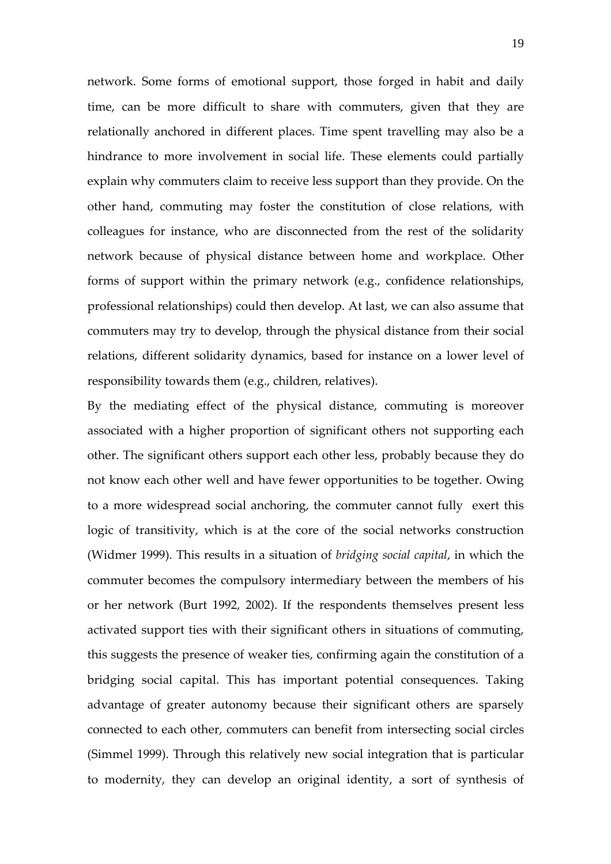network. Some forms of emotional support, those forged in habit and daily time, can be more difficult to share with commuters, given that they are relationally anchored in different places. Time spent travelling may also be a hindrance to more involvement in social life. These elements could partially explain why commuters claim to receive less support than they provide. On the other hand, commuting may foster the constitution of close relations, with colleagues for instance, who are disconnected from the rest of the solidarity network because of physical distance between home and workplace. Other forms of support within the primary network (e.g., confidence relationships, professional relationships) could then develop. At last, we can also assume that commuters may try to develop, through the physical distance from their social relations, different solidarity dynamics, based for instance on a lower level of responsibility towards them (e.g., children, relatives).

By the mediating effect of the physical distance, commuting is moreover associated with a higher proportion of significant others not supporting each other. The significant others support each other less, probably because they do not know each other well and have fewer opportunities to be together. Owing to a more widespread social anchoring, the commuter cannot fully exert this logic of transitivity, which is at the core of the social networks construction (Widmer 1999). This results in a situation of *bridging social capital*, in which the commuter becomes the compulsory intermediary between the members of his or her network (Burt 1992, 2002). If the respondents themselves present less activated support ties with their significant others in situations of commuting, this suggests the presence of weaker ties, confirming again the constitution of a bridging social capital. This has important potential consequences. Taking advantage of greater autonomy because their significant others are sparsely connected to each other, commuters can benefit from intersecting social circles (Simmel 1999). Through this relatively new social integration that is particular to modernity, they can develop an original identity, a sort of synthesis of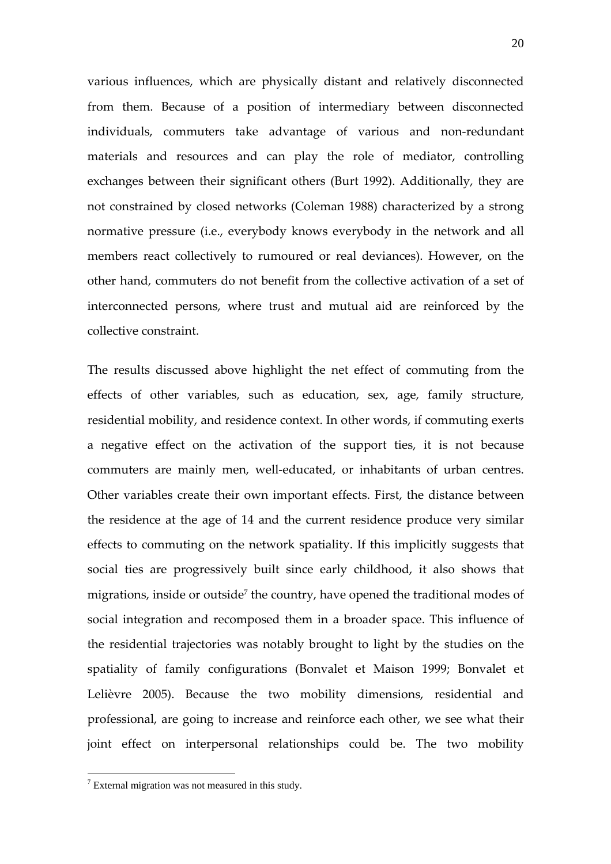various influences, which are physically distant and relatively disconnected from them. Because of a position of intermediary between disconnected individuals, commuters take advantage of various and non‐redundant materials and resources and can play the role of mediator, controlling exchanges between their significant others (Burt 1992). Additionally, they are not constrained by closed networks (Coleman 1988) characterized by a strong normative pressure (i.e., everybody knows everybody in the network and all members react collectively to rumoured or real deviances). However, on the other hand, commuters do not benefit from the collective activation of a set of interconnected persons, where trust and mutual aid are reinforced by the collective constraint.

The results discussed above highlight the net effect of commuting from the effects of other variables, such as education, sex, age, family structure, residential mobility, and residence context. In other words, if commuting exerts a negative effect on the activation of the support ties, it is not because commuters are mainly men, well-educated, or inhabitants of urban centres. Other variables create their own important effects. First, the distance between the residence at the age of 14 and the current residence produce very similar effects to commuting on the network spatiality. If this implicitly suggests that social ties are progressively built since early childhood, it also shows that migrations, inside or outside<sup>7</sup> the country, have opened the traditional modes of social integration and recomposed them in a broader space. This influence of the residential trajectories was notably brought to light by the studies on the spatiality of family configurations (Bonvalet et Maison 1999; Bonvalet et Lelièvre 2005). Because the two mobility dimensions, residential and professional, are going to increase and reinforce each other, we see what their joint effect on interpersonal relationships could be. The two mobility

 $7$  External migration was not measured in this study.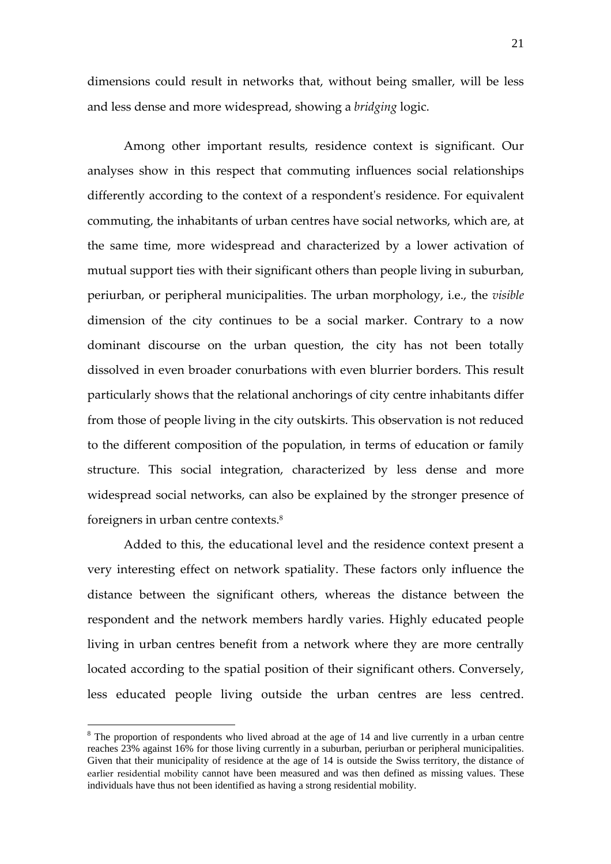dimensions could result in networks that, without being smaller, will be less and less dense and more widespread, showing a *bridging* logic.

Among other important results, residence context is significant. Our analyses show in this respect that commuting influences social relationships differently according to the context of a respondent's residence. For equivalent commuting, the inhabitants of urban centres have social networks, which are, at the same time, more widespread and characterized by a lower activation of mutual support ties with their significant others than people living in suburban, periurban, or peripheral municipalities. The urban morphology, i.e., the *visible* dimension of the city continues to be a social marker. Contrary to a now dominant discourse on the urban question, the city has not been totally dissolved in even broader conurbations with even blurrier borders. This result particularly shows that the relational anchorings of city centre inhabitants differ from those of people living in the city outskirts. This observation is not reduced to the different composition of the population, in terms of education or family structure. This social integration, characterized by less dense and more widespread social networks, can also be explained by the stronger presence of foreigners in urban centre contexts.8

Added to this, the educational level and the residence context present a very interesting effect on network spatiality. These factors only influence the distance between the significant others, whereas the distance between the respondent and the network members hardly varies. Highly educated people living in urban centres benefit from a network where they are more centrally located according to the spatial position of their significant others. Conversely, less educated people living outside the urban centres are less centred.

<sup>&</sup>lt;sup>8</sup> The proportion of respondents who lived abroad at the age of 14 and live currently in a urban centre reaches 23% against 16% for those living currently in a suburban, periurban or peripheral municipalities. Given that their municipality of residence at the age of 14 is outside the Swiss territory, the distance of earlier residential mobility cannot have been measured and was then defined as missing values. These individuals have thus not been identified as having a strong residential mobility.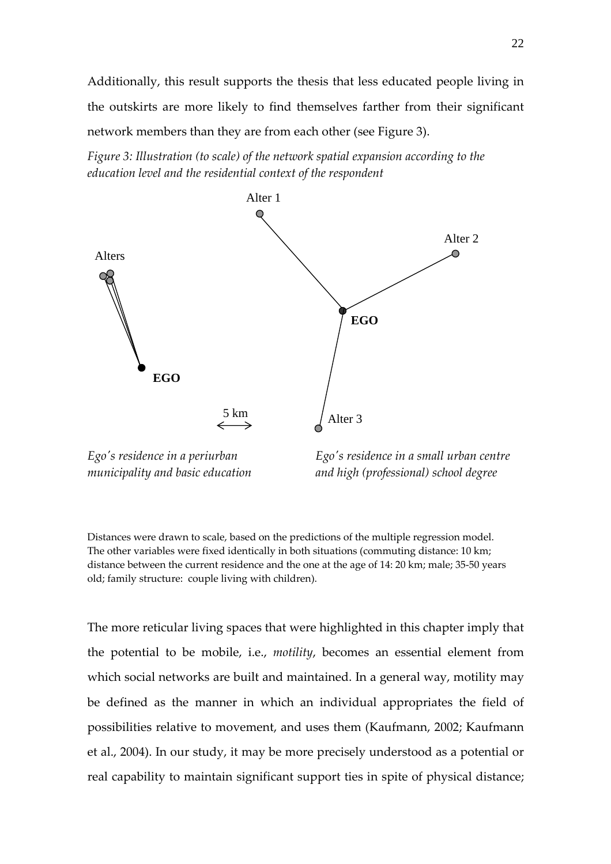Additionally, this result supports the thesis that less educated people living in the outskirts are more likely to find themselves farther from their significant network members than they are from each other (see Figure 3).

*Figure 3: Illustration (to scale) of the network spatial expansion according to the education level and the residential context of the respondent* 



*Egoʹs residence in a periurban municipality and basic education*

*Egoʹs residence in a small urban centre and high (professional) school degree*

Distances were drawn to scale, based on the predictions of the multiple regression model. The other variables were fixed identically in both situations (commuting distance: 10 km; distance between the current residence and the one at the age of 14: 20 km; male; 35‐50 years old; family structure: couple living with children).

The more reticular living spaces that were highlighted in this chapter imply that the potential to be mobile, i.e., *motility*, becomes an essential element from which social networks are built and maintained. In a general way, motility may be defined as the manner in which an individual appropriates the field of possibilities relative to movement, and uses them (Kaufmann, 2002; Kaufmann et al., 2004). In our study, it may be more precisely understood as a potential or real capability to maintain significant support ties in spite of physical distance;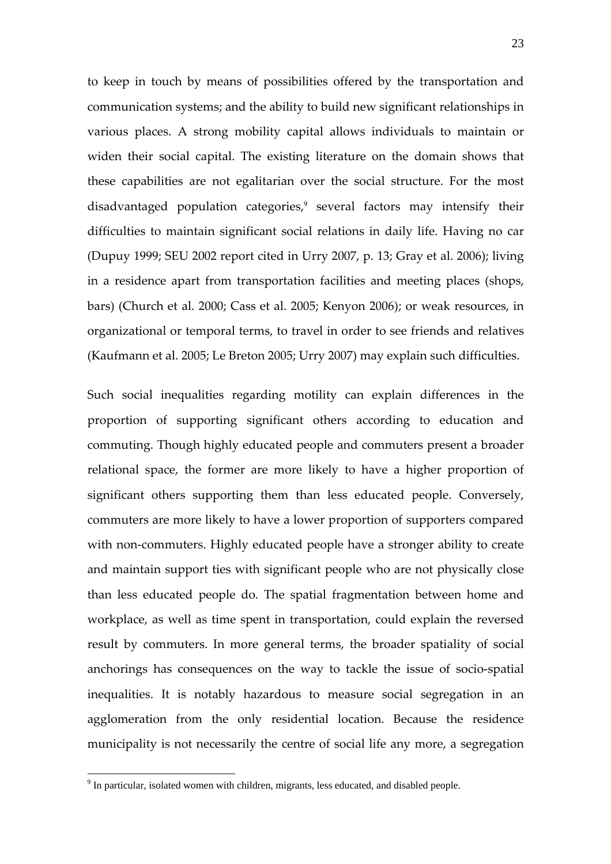to keep in touch by means of possibilities offered by the transportation and communication systems; and the ability to build new significant relationships in various places. A strong mobility capital allows individuals to maintain or widen their social capital. The existing literature on the domain shows that these capabilities are not egalitarian over the social structure. For the most disadvantaged population categories,<sup>9</sup> several factors may intensify their difficulties to maintain significant social relations in daily life. Having no car (Dupuy 1999; SEU 2002 report cited in Urry 2007, p. 13; Gray et al. 2006); living in a residence apart from transportation facilities and meeting places (shops, bars) (Church et al. 2000; Cass et al. 2005; Kenyon 2006); or weak resources, in organizational or temporal terms, to travel in order to see friends and relatives (Kaufmann et al. 2005; Le Breton 2005; Urry 2007) may explain such difficulties.

Such social inequalities regarding motility can explain differences in the proportion of supporting significant others according to education and commuting. Though highly educated people and commuters present a broader relational space, the former are more likely to have a higher proportion of significant others supporting them than less educated people. Conversely, commuters are more likely to have a lower proportion of supporters compared with non-commuters. Highly educated people have a stronger ability to create and maintain support ties with significant people who are not physically close than less educated people do. The spatial fragmentation between home and workplace, as well as time spent in transportation, could explain the reversed result by commuters. In more general terms, the broader spatiality of social anchorings has consequences on the way to tackle the issue of socio‐spatial inequalities. It is notably hazardous to measure social segregation in an agglomeration from the only residential location. Because the residence municipality is not necessarily the centre of social life any more, a segregation

 $9$  In particular, isolated women with children, migrants, less educated, and disabled people.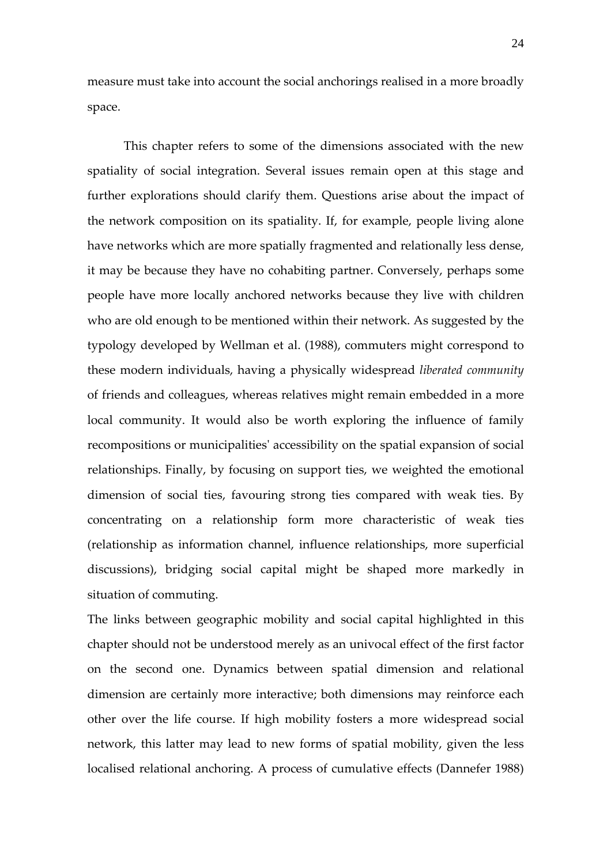measure must take into account the social anchorings realised in a more broadly space.

This chapter refers to some of the dimensions associated with the new spatiality of social integration. Several issues remain open at this stage and further explorations should clarify them. Questions arise about the impact of the network composition on its spatiality. If, for example, people living alone have networks which are more spatially fragmented and relationally less dense, it may be because they have no cohabiting partner. Conversely, perhaps some people have more locally anchored networks because they live with children who are old enough to be mentioned within their network. As suggested by the typology developed by Wellman et al. (1988), commuters might correspond to these modern individuals, having a physically widespread *liberated community* of friends and colleagues, whereas relatives might remain embedded in a more local community. It would also be worth exploring the influence of family recompositions or municipalitiesʹ accessibility on the spatial expansion of social relationships. Finally, by focusing on support ties, we weighted the emotional dimension of social ties, favouring strong ties compared with weak ties. By concentrating on a relationship form more characteristic of weak ties (relationship as information channel, influence relationships, more superficial discussions), bridging social capital might be shaped more markedly in situation of commuting.

The links between geographic mobility and social capital highlighted in this chapter should not be understood merely as an univocal effect of the first factor on the second one. Dynamics between spatial dimension and relational dimension are certainly more interactive; both dimensions may reinforce each other over the life course. If high mobility fosters a more widespread social network, this latter may lead to new forms of spatial mobility, given the less localised relational anchoring. A process of cumulative effects (Dannefer 1988)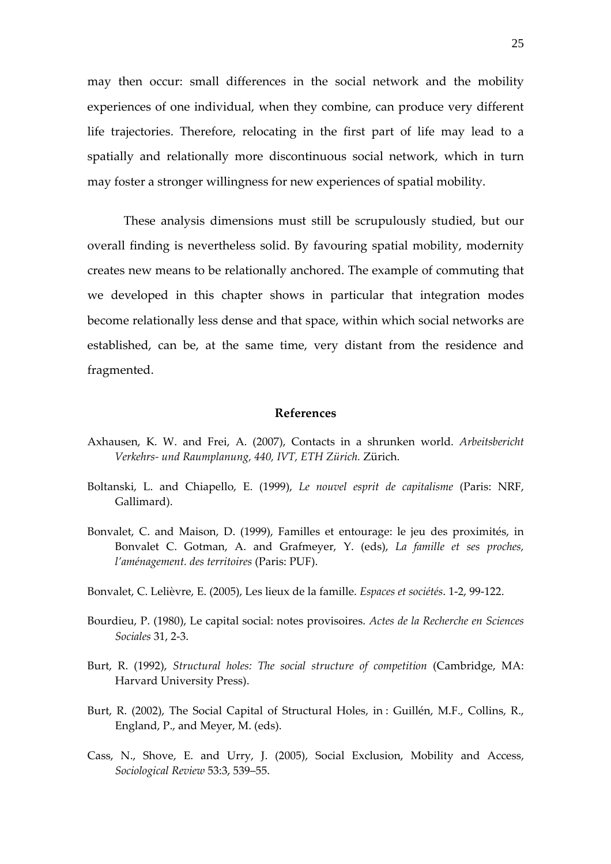may then occur: small differences in the social network and the mobility experiences of one individual, when they combine, can produce very different life trajectories. Therefore, relocating in the first part of life may lead to a spatially and relationally more discontinuous social network, which in turn may foster a stronger willingness for new experiences of spatial mobility.

These analysis dimensions must still be scrupulously studied, but our overall finding is nevertheless solid. By favouring spatial mobility, modernity creates new means to be relationally anchored. The example of commuting that we developed in this chapter shows in particular that integration modes become relationally less dense and that space, within which social networks are established, can be, at the same time, very distant from the residence and fragmented.

#### **References**

- Axhausen, K. W. and Frei, A. (2007), Contacts in a shrunken world. *Arbeitsbericht Verkehrs‐ und Raumplanung, 440, IVT, ETH Zürich.* Zürich.
- Boltanski, L. and Chiapello, E. (1999), *Le nouvel esprit de capitalisme* (Paris: NRF, Gallimard).
- Bonvalet, C. and Maison, D. (1999), Familles et entourage: le jeu des proximités, in Bonvalet C. Gotman, A. and Grafmeyer, Y. (eds), *La famille et ses proches, l'aménagement. des territoires* (Paris: PUF).
- Bonvalet, C. Lelièvre, E. (2005), Les lieux de la famille. *Espaces et sociétés*. 1‐2, 99‐122.
- Bourdieu, P. (1980), Le capital social: notes provisoires. *Actes de la Recherche en Sciences Sociales* 31, 2‐3.
- Burt, R. (1992), *Structural holes: The social structure of competition* (Cambridge, MA: Harvard University Press).
- Burt, R. (2002), The Social Capital of Structural Holes, in : Guillén, M.F., Collins, R., England, P., and Meyer, M. (eds).
- Cass, N., Shove, E. and Urry, J. (2005), Social Exclusion, Mobility and Access, *Sociological Review* 53:3, 539–55.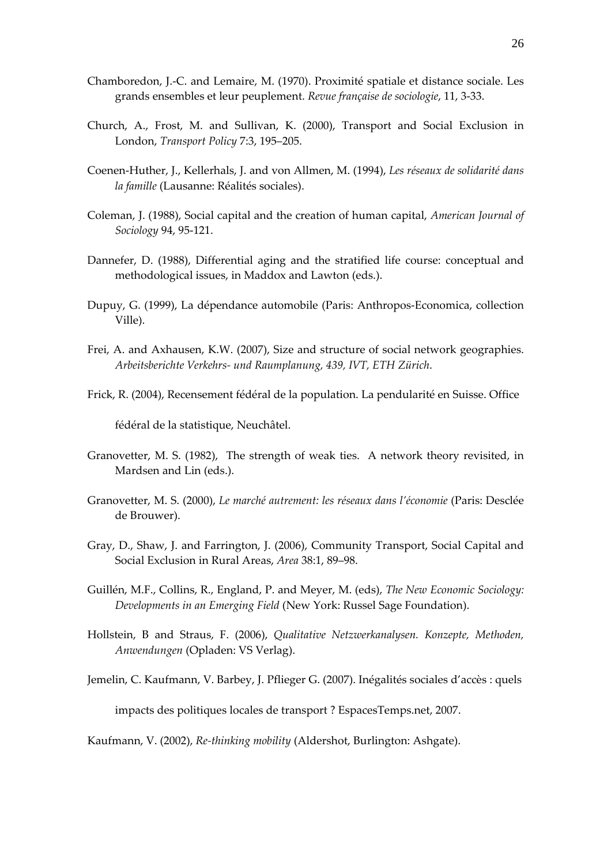- Chamboredon, J.‐C. and Lemaire, M. (1970). Proximité spatiale et distance sociale. Les grands ensembles et leur peuplement. *Revue française de sociologie*, 11, 3‐33.
- Church, A., Frost, M. and Sullivan, K. (2000), Transport and Social Exclusion in London, *Transport Policy* 7:3, 195–205.
- Coenen‐Huther, J., Kellerhals, J. and von Allmen, M. (1994), *Les réseaux de solidarité dans la famille* (Lausanne: Réalités sociales).
- Coleman, J. (1988), Social capital and the creation of human capital, *American Journal of Sociology* 94, 95‐121.
- Dannefer, D. (1988), Differential aging and the stratified life course: conceptual and methodological issues, in Maddox and Lawton (eds.).
- Dupuy, G. (1999), La dépendance automobile (Paris: Anthropos‐Economica, collection Ville).
- Frei, A. and Axhausen, K.W. (2007), Size and structure of social network geographies. *Arbeitsberichte Verkehrs‐ und Raumplanung, 439, IVT, ETH Zürich*.
- Frick, R. (2004), Recensement fédéral de la population. La pendularité en Suisse. Office

fédéral de la statistique, Neuchâtel.

- Granovetter, M. S. (1982), The strength of weak ties. A network theory revisited, in Mardsen and Lin (eds.).
- Granovetter, M. S. (2000), *Le marché autrement: les réseaux dans l'économie* (Paris: Desclée de Brouwer).
- Gray, D., Shaw, J. and Farrington, J. (2006), Community Transport, Social Capital and Social Exclusion in Rural Areas, *Area* 38:1, 89–98.
- Guillén, M.F., Collins, R., England, P. and Meyer, M. (eds), *The New Economic Sociology: Developments in an Emerging Field* (New York: Russel Sage Foundation).
- Hollstein, B and Straus, F. (2006), *Qualitative Netzwerkanalysen. Konzepte, Methoden, Anwendungen* (Opladen: VS Verlag).

Jemelin, C. Kaufmann, V. Barbey, J. Pflieger G. (2007). Inégalités sociales d'accès : quels

impacts des politiques locales de transport ? EspacesTemps.net, 2007.

Kaufmann, V. (2002), *Re‐thinking mobility* (Aldershot, Burlington: Ashgate).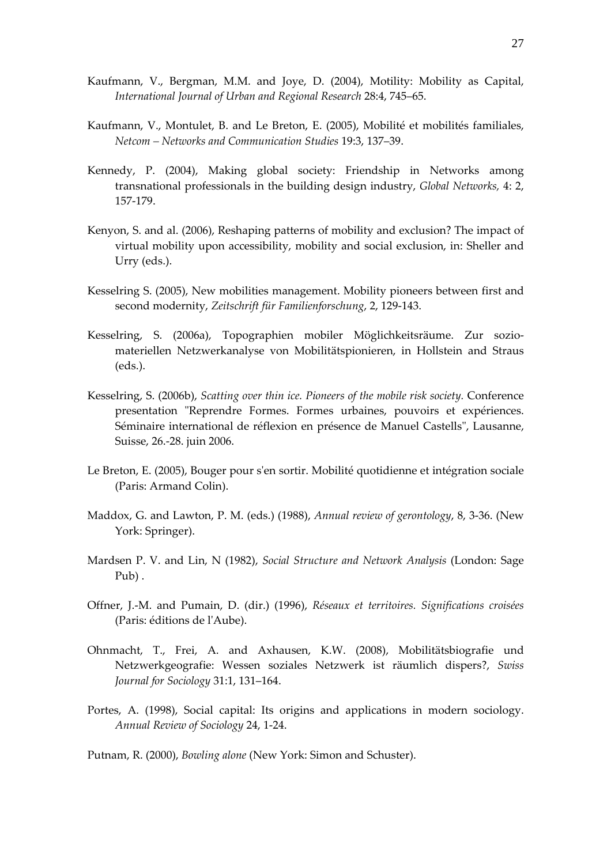- Kaufmann, V., Bergman, M.M. and Joye, D. (2004), Motility: Mobility as Capital, *International Journal of Urban and Regional Research* 28:4, 745–65.
- Kaufmann, V., Montulet, B. and Le Breton, E. (2005), Mobilité et mobilités familiales, *Netcom – Networks and Communication Studies* 19:3, 137–39.
- Kennedy, P. (2004), Making global society: Friendship in Networks among transnational professionals in the building design industry, *Global Networks,* 4: 2, 157‐179.
- Kenyon, S. and al. (2006), Reshaping patterns of mobility and exclusion? The impact of virtual mobility upon accessibility, mobility and social exclusion, in: Sheller and Urry (eds.).
- Kesselring S. (2005), New mobilities management. Mobility pioneers between first and second modernity, *Zeitschrift für Familienforschung*, 2, 129‐143.
- Kesselring, S. (2006a), Topographien mobiler Möglichkeitsräume. Zur sozio‐ materiellen Netzwerkanalyse von Mobilitätspionieren, in Hollstein and Straus (eds.).
- Kesselring, S. (2006b), *Scatting over thin ice. Pioneers of the mobile risk society.* Conference presentation "Reprendre Formes. Formes urbaines, pouvoirs et expériences. Séminaire international de réflexion en présence de Manuel Castells'', Lausanne, Suisse, 26.‐28. juin 2006.
- Le Breton, E. (2005), Bouger pour sʹen sortir. Mobilité quotidienne et intégration sociale (Paris: Armand Colin).
- Maddox, G. and Lawton, P. M. (eds.) (1988), *Annual review of gerontology*, 8, 3‐36. (New York: Springer).
- Mardsen P. V. and Lin, N (1982), *Social Structure and Network Analysis* (London: Sage Pub) .
- Offner, J.‐M. and Pumain, D. (dir.) (1996), *Réseaux et territoires. Significations croisées* (Paris: éditions de lʹAube).
- Ohnmacht, T., Frei, A. and Axhausen, K.W. (2008), Mobilitätsbiografie und Netzwerkgeografie: Wessen soziales Netzwerk ist räumlich dispers?, *Swiss Journal for Sociology* 31:1, 131–164.
- Portes, A. (1998), Social capital: Its origins and applications in modern sociology. *Annual Review of Sociology* 24, 1‐24.

Putnam, R. (2000), *Bowling alone* (New York: Simon and Schuster).